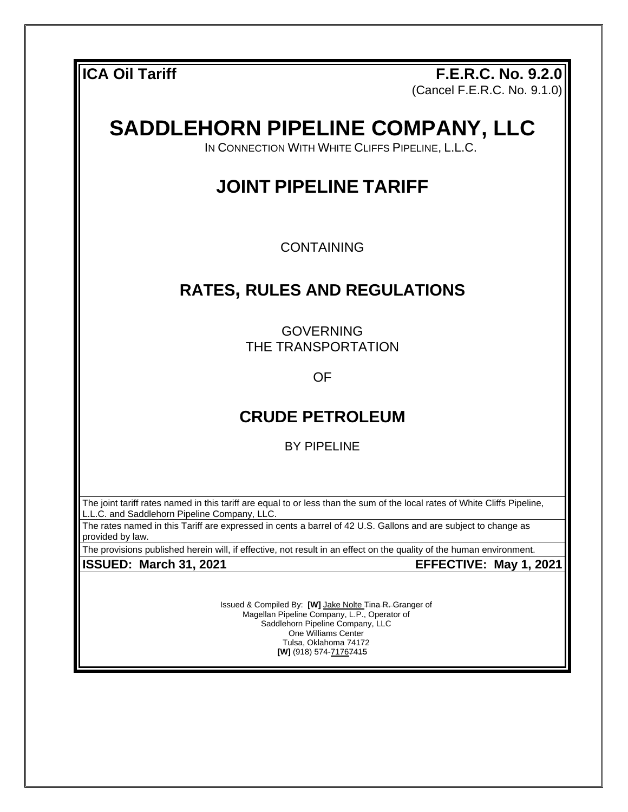**ICA Oil Tariff F.E.R.C. No. 9.2.0** (Cancel F.E.R.C. No. 9.1.0)

# **SADDLEHORN PIPELINE COMPANY, LLC**

IN CONNECTION WITH WHITE CLIFFS PIPELINE, L.L.C.

# **JOINT PIPELINE TARIFF**

CONTAINING

# **RATES, RULES AND REGULATIONS**

GOVERNING THE TRANSPORTATION

OF

# **CRUDE PETROLEUM**

BY PIPELINE

The joint tariff rates named in this tariff are equal to or less than the sum of the local rates of White Cliffs Pipeline, L.L.C. and Saddlehorn Pipeline Company, LLC.

The rates named in this Tariff are expressed in cents a barrel of 42 U.S. Gallons and are subject to change as provided by law.

The provisions published herein will, if effective, not result in an effect on the quality of the human environment.

**ISSUED: March 31, 2021 EFFECTIVE: May 1, 2021**

Issued & Compiled By: **[W]** Jake Nolte Tina R. Granger of Magellan Pipeline Company, L.P., Operator of Saddlehorn Pipeline Company, LLC One Williams Center Tulsa, Oklahoma 74172 **[W]** (918) 574-71767415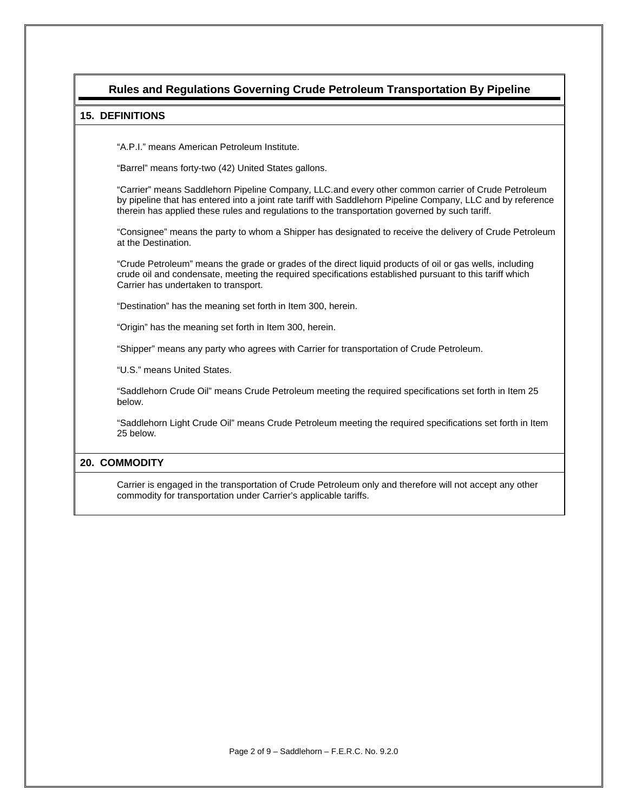## **Rules and Regulations Governing Crude Petroleum Transportation By Pipeline**

#### **15. DEFINITIONS**

"A.P.I." means American Petroleum Institute.

"Barrel" means forty-two (42) United States gallons.

"Carrier" means Saddlehorn Pipeline Company, LLC.and every other common carrier of Crude Petroleum by pipeline that has entered into a joint rate tariff with Saddlehorn Pipeline Company, LLC and by reference therein has applied these rules and regulations to the transportation governed by such tariff.

"Consignee" means the party to whom a Shipper has designated to receive the delivery of Crude Petroleum at the Destination.

"Crude Petroleum" means the grade or grades of the direct liquid products of oil or gas wells, including crude oil and condensate, meeting the required specifications established pursuant to this tariff which Carrier has undertaken to transport.

"Destination" has the meaning set forth in Item 300, herein.

"Origin" has the meaning set forth in Item 300, herein.

"Shipper" means any party who agrees with Carrier for transportation of Crude Petroleum.

"U.S." means United States.

"Saddlehorn Crude Oil" means Crude Petroleum meeting the required specifications set forth in Item 25 below.

"Saddlehorn Light Crude Oil" means Crude Petroleum meeting the required specifications set forth in Item 25 below.

#### **20. COMMODITY**

Carrier is engaged in the transportation of Crude Petroleum only and therefore will not accept any other commodity for transportation under Carrier's applicable tariffs.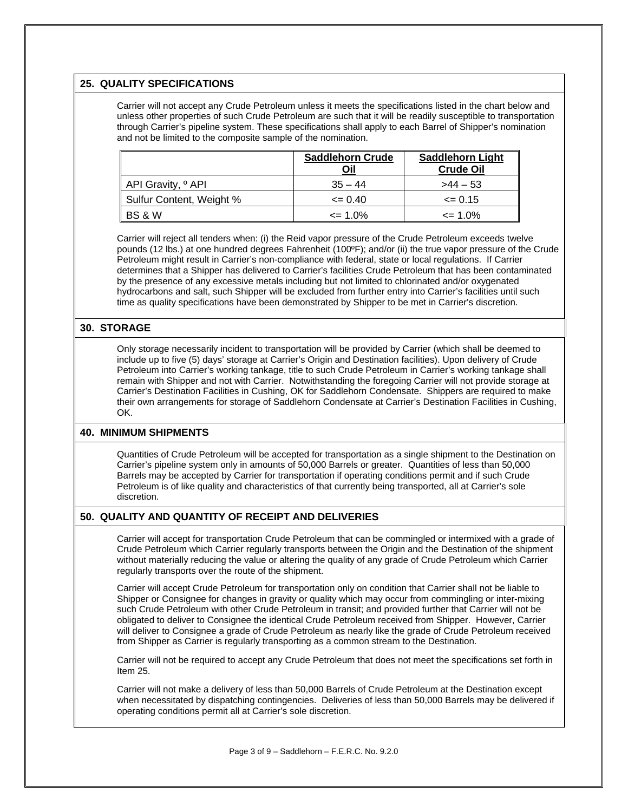#### **25. QUALITY SPECIFICATIONS**

Carrier will not accept any Crude Petroleum unless it meets the specifications listed in the chart below and unless other properties of such Crude Petroleum are such that it will be readily susceptible to transportation through Carrier's pipeline system. These specifications shall apply to each Barrel of Shipper's nomination and not be limited to the composite sample of the nomination.

|                               | <b>Saddlehorn Crude</b><br>Oil | <b>Saddlehorn Light</b><br><b>Crude Oil</b> |
|-------------------------------|--------------------------------|---------------------------------------------|
| API Gravity, <sup>o</sup> API | $35 - 44$                      | $>44-53$                                    |
| Sulfur Content, Weight %      | $\leq$ 0.40                    | $\leq 0.15$                                 |
| BS & W                        | $\epsilon$ = 1.0%              | $\epsilon$ = 1.0%                           |

Carrier will reject all tenders when: (i) the Reid vapor pressure of the Crude Petroleum exceeds twelve pounds (12 lbs.) at one hundred degrees Fahrenheit (100ºF); and/or (ii) the true vapor pressure of the Crude Petroleum might result in Carrier's non-compliance with federal, state or local regulations. If Carrier determines that a Shipper has delivered to Carrier's facilities Crude Petroleum that has been contaminated by the presence of any excessive metals including but not limited to chlorinated and/or oxygenated hydrocarbons and salt, such Shipper will be excluded from further entry into Carrier's facilities until such time as quality specifications have been demonstrated by Shipper to be met in Carrier's discretion.

#### **30. STORAGE**

Only storage necessarily incident to transportation will be provided by Carrier (which shall be deemed to include up to five (5) days' storage at Carrier's Origin and Destination facilities). Upon delivery of Crude Petroleum into Carrier's working tankage, title to such Crude Petroleum in Carrier's working tankage shall remain with Shipper and not with Carrier. Notwithstanding the foregoing Carrier will not provide storage at Carrier's Destination Facilities in Cushing, OK for Saddlehorn Condensate. Shippers are required to make their own arrangements for storage of Saddlehorn Condensate at Carrier's Destination Facilities in Cushing, OK.

#### **40. MINIMUM SHIPMENTS**

Quantities of Crude Petroleum will be accepted for transportation as a single shipment to the Destination on Carrier's pipeline system only in amounts of 50,000 Barrels or greater. Quantities of less than 50,000 Barrels may be accepted by Carrier for transportation if operating conditions permit and if such Crude Petroleum is of like quality and characteristics of that currently being transported, all at Carrier's sole discretion.

#### **50. QUALITY AND QUANTITY OF RECEIPT AND DELIVERIES**

Carrier will accept for transportation Crude Petroleum that can be commingled or intermixed with a grade of Crude Petroleum which Carrier regularly transports between the Origin and the Destination of the shipment without materially reducing the value or altering the quality of any grade of Crude Petroleum which Carrier regularly transports over the route of the shipment.

Carrier will accept Crude Petroleum for transportation only on condition that Carrier shall not be liable to Shipper or Consignee for changes in gravity or quality which may occur from commingling or inter-mixing such Crude Petroleum with other Crude Petroleum in transit; and provided further that Carrier will not be obligated to deliver to Consignee the identical Crude Petroleum received from Shipper. However, Carrier will deliver to Consignee a grade of Crude Petroleum as nearly like the grade of Crude Petroleum received from Shipper as Carrier is regularly transporting as a common stream to the Destination.

Carrier will not be required to accept any Crude Petroleum that does not meet the specifications set forth in Item 25.

Carrier will not make a delivery of less than 50,000 Barrels of Crude Petroleum at the Destination except when necessitated by dispatching contingencies. Deliveries of less than 50,000 Barrels may be delivered if operating conditions permit all at Carrier's sole discretion.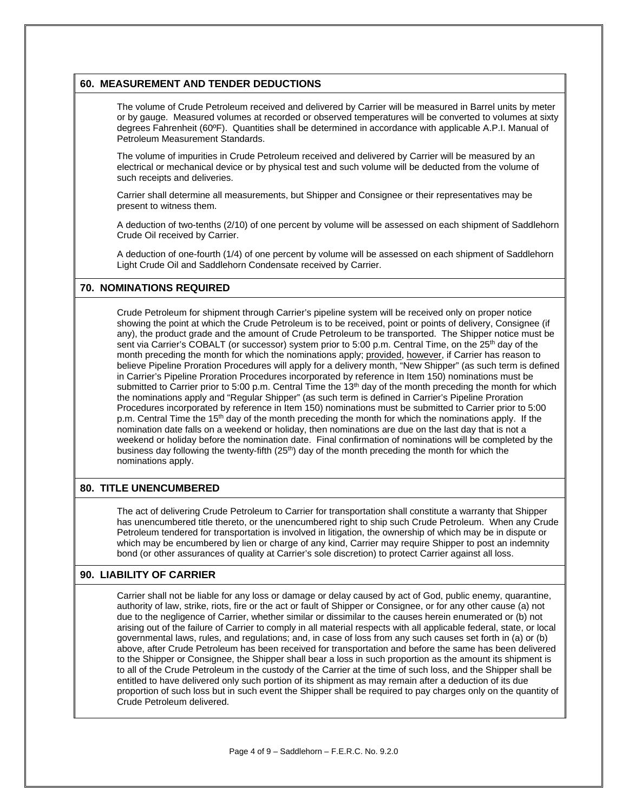#### **60. MEASUREMENT AND TENDER DEDUCTIONS**

The volume of Crude Petroleum received and delivered by Carrier will be measured in Barrel units by meter or by gauge. Measured volumes at recorded or observed temperatures will be converted to volumes at sixty degrees Fahrenheit (60ºF). Quantities shall be determined in accordance with applicable A.P.I. Manual of Petroleum Measurement Standards.

The volume of impurities in Crude Petroleum received and delivered by Carrier will be measured by an electrical or mechanical device or by physical test and such volume will be deducted from the volume of such receipts and deliveries.

Carrier shall determine all measurements, but Shipper and Consignee or their representatives may be present to witness them.

A deduction of two-tenths (2/10) of one percent by volume will be assessed on each shipment of Saddlehorn Crude Oil received by Carrier.

A deduction of one-fourth (1/4) of one percent by volume will be assessed on each shipment of Saddlehorn Light Crude Oil and Saddlehorn Condensate received by Carrier.

#### **70. NOMINATIONS REQUIRED**

Crude Petroleum for shipment through Carrier's pipeline system will be received only on proper notice showing the point at which the Crude Petroleum is to be received, point or points of delivery, Consignee (if any), the product grade and the amount of Crude Petroleum to be transported. The Shipper notice must be sent via Carrier's COBALT (or successor) system prior to 5:00 p.m. Central Time, on the 25<sup>th</sup> day of the month preceding the month for which the nominations apply; provided, however, if Carrier has reason to believe Pipeline Proration Procedures will apply for a delivery month, "New Shipper" (as such term is defined in Carrier's Pipeline Proration Procedures incorporated by reference in Item 150) nominations must be submitted to Carrier prior to 5:00 p.m. Central Time the 13<sup>th</sup> day of the month preceding the month for which the nominations apply and "Regular Shipper" (as such term is defined in Carrier's Pipeline Proration Procedures incorporated by reference in Item 150) nominations must be submitted to Carrier prior to 5:00 p.m. Central Time the 15<sup>th</sup> day of the month preceding the month for which the nominations apply. If the nomination date falls on a weekend or holiday, then nominations are due on the last day that is not a weekend or holiday before the nomination date. Final confirmation of nominations will be completed by the business day following the twenty-fifth (25<sup>th</sup>) day of the month preceding the month for which the nominations apply.

#### **80. TITLE UNENCUMBERED**

The act of delivering Crude Petroleum to Carrier for transportation shall constitute a warranty that Shipper has unencumbered title thereto, or the unencumbered right to ship such Crude Petroleum. When any Crude Petroleum tendered for transportation is involved in litigation, the ownership of which may be in dispute or which may be encumbered by lien or charge of any kind, Carrier may require Shipper to post an indemnity bond (or other assurances of quality at Carrier's sole discretion) to protect Carrier against all loss.

#### **90. LIABILITY OF CARRIER**

Carrier shall not be liable for any loss or damage or delay caused by act of God, public enemy, quarantine, authority of law, strike, riots, fire or the act or fault of Shipper or Consignee, or for any other cause (a) not due to the negligence of Carrier, whether similar or dissimilar to the causes herein enumerated or (b) not arising out of the failure of Carrier to comply in all material respects with all applicable federal, state, or local governmental laws, rules, and regulations; and, in case of loss from any such causes set forth in (a) or (b) above, after Crude Petroleum has been received for transportation and before the same has been delivered to the Shipper or Consignee, the Shipper shall bear a loss in such proportion as the amount its shipment is to all of the Crude Petroleum in the custody of the Carrier at the time of such loss, and the Shipper shall be entitled to have delivered only such portion of its shipment as may remain after a deduction of its due proportion of such loss but in such event the Shipper shall be required to pay charges only on the quantity of Crude Petroleum delivered.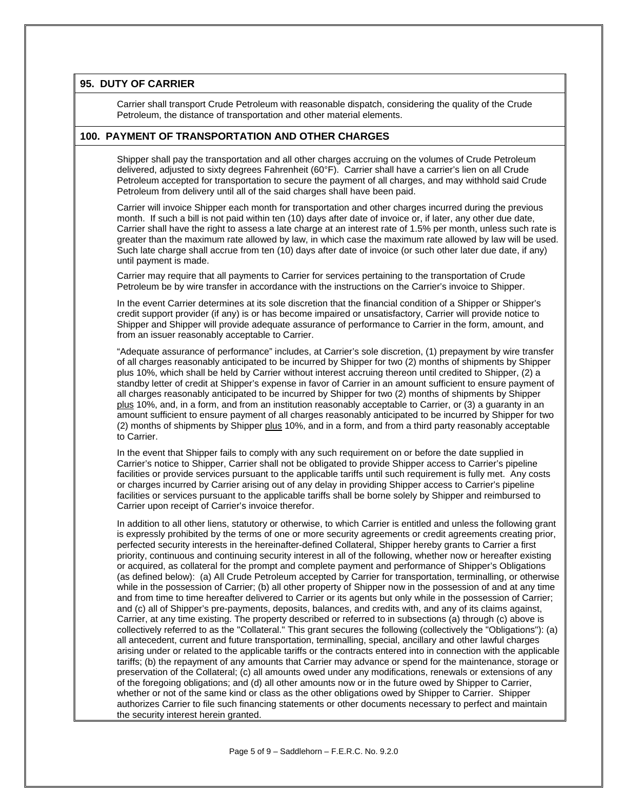#### **95. DUTY OF CARRIER**

Carrier shall transport Crude Petroleum with reasonable dispatch, considering the quality of the Crude Petroleum, the distance of transportation and other material elements.

#### **100. PAYMENT OF TRANSPORTATION AND OTHER CHARGES**

Shipper shall pay the transportation and all other charges accruing on the volumes of Crude Petroleum delivered, adjusted to sixty degrees Fahrenheit (60°F). Carrier shall have a carrier's lien on all Crude Petroleum accepted for transportation to secure the payment of all charges, and may withhold said Crude Petroleum from delivery until all of the said charges shall have been paid.

Carrier will invoice Shipper each month for transportation and other charges incurred during the previous month. If such a bill is not paid within ten (10) days after date of invoice or, if later, any other due date, Carrier shall have the right to assess a late charge at an interest rate of 1.5% per month, unless such rate is greater than the maximum rate allowed by law, in which case the maximum rate allowed by law will be used. Such late charge shall accrue from ten (10) days after date of invoice (or such other later due date, if any) until payment is made.

Carrier may require that all payments to Carrier for services pertaining to the transportation of Crude Petroleum be by wire transfer in accordance with the instructions on the Carrier's invoice to Shipper.

In the event Carrier determines at its sole discretion that the financial condition of a Shipper or Shipper's credit support provider (if any) is or has become impaired or unsatisfactory, Carrier will provide notice to Shipper and Shipper will provide adequate assurance of performance to Carrier in the form, amount, and from an issuer reasonably acceptable to Carrier.

"Adequate assurance of performance" includes, at Carrier's sole discretion, (1) prepayment by wire transfer of all charges reasonably anticipated to be incurred by Shipper for two (2) months of shipments by Shipper plus 10%, which shall be held by Carrier without interest accruing thereon until credited to Shipper, (2) a standby letter of credit at Shipper's expense in favor of Carrier in an amount sufficient to ensure payment of all charges reasonably anticipated to be incurred by Shipper for two (2) months of shipments by Shipper plus 10%, and, in a form, and from an institution reasonably acceptable to Carrier, or (3) a guaranty in an amount sufficient to ensure payment of all charges reasonably anticipated to be incurred by Shipper for two (2) months of shipments by Shipper plus 10%, and in a form, and from a third party reasonably acceptable to Carrier.

In the event that Shipper fails to comply with any such requirement on or before the date supplied in Carrier's notice to Shipper, Carrier shall not be obligated to provide Shipper access to Carrier's pipeline facilities or provide services pursuant to the applicable tariffs until such requirement is fully met. Any costs or charges incurred by Carrier arising out of any delay in providing Shipper access to Carrier's pipeline facilities or services pursuant to the applicable tariffs shall be borne solely by Shipper and reimbursed to Carrier upon receipt of Carrier's invoice therefor.

In addition to all other liens, statutory or otherwise, to which Carrier is entitled and unless the following grant is expressly prohibited by the terms of one or more security agreements or credit agreements creating prior, perfected security interests in the hereinafter-defined Collateral, Shipper hereby grants to Carrier a first priority, continuous and continuing security interest in all of the following, whether now or hereafter existing or acquired, as collateral for the prompt and complete payment and performance of Shipper's Obligations (as defined below): (a) All Crude Petroleum accepted by Carrier for transportation, terminalling, or otherwise while in the possession of Carrier; (b) all other property of Shipper now in the possession of and at any time and from time to time hereafter delivered to Carrier or its agents but only while in the possession of Carrier; and (c) all of Shipper's pre-payments, deposits, balances, and credits with, and any of its claims against, Carrier, at any time existing. The property described or referred to in subsections (a) through (c) above is collectively referred to as the "Collateral." This grant secures the following (collectively the "Obligations"): (a) all antecedent, current and future transportation, terminalling, special, ancillary and other lawful charges arising under or related to the applicable tariffs or the contracts entered into in connection with the applicable tariffs; (b) the repayment of any amounts that Carrier may advance or spend for the maintenance, storage or preservation of the Collateral; (c) all amounts owed under any modifications, renewals or extensions of any of the foregoing obligations; and (d) all other amounts now or in the future owed by Shipper to Carrier, whether or not of the same kind or class as the other obligations owed by Shipper to Carrier. Shipper authorizes Carrier to file such financing statements or other documents necessary to perfect and maintain the security interest herein granted.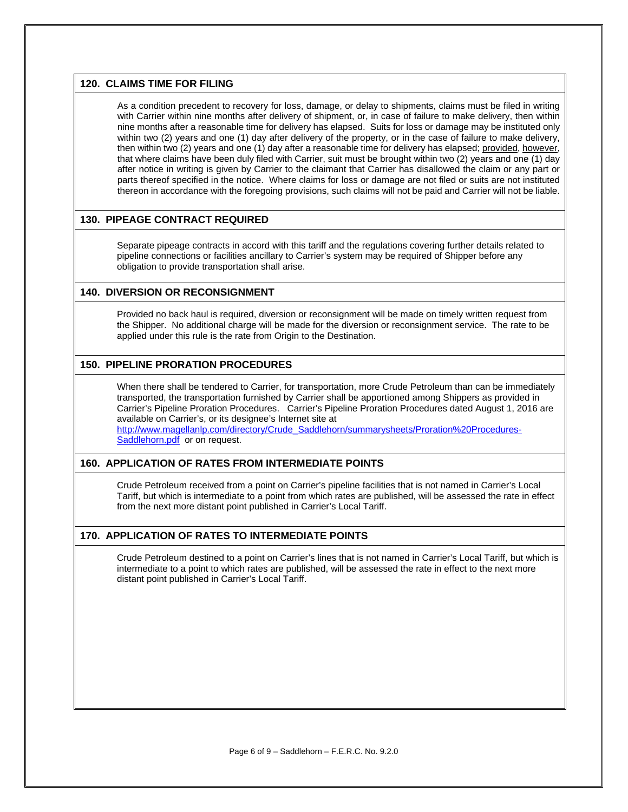#### **120. CLAIMS TIME FOR FILING**

As a condition precedent to recovery for loss, damage, or delay to shipments, claims must be filed in writing with Carrier within nine months after delivery of shipment, or, in case of failure to make delivery, then within nine months after a reasonable time for delivery has elapsed. Suits for loss or damage may be instituted only within two (2) years and one (1) day after delivery of the property, or in the case of failure to make delivery, then within two (2) years and one (1) day after a reasonable time for delivery has elapsed; provided, however, that where claims have been duly filed with Carrier, suit must be brought within two (2) years and one (1) day after notice in writing is given by Carrier to the claimant that Carrier has disallowed the claim or any part or parts thereof specified in the notice. Where claims for loss or damage are not filed or suits are not instituted thereon in accordance with the foregoing provisions, such claims will not be paid and Carrier will not be liable.

### **130. PIPEAGE CONTRACT REQUIRED**

Separate pipeage contracts in accord with this tariff and the regulations covering further details related to pipeline connections or facilities ancillary to Carrier's system may be required of Shipper before any obligation to provide transportation shall arise.

#### **140. DIVERSION OR RECONSIGNMENT**

Provided no back haul is required, diversion or reconsignment will be made on timely written request from the Shipper. No additional charge will be made for the diversion or reconsignment service. The rate to be applied under this rule is the rate from Origin to the Destination.

#### **150. PIPELINE PRORATION PROCEDURES**

When there shall be tendered to Carrier, for transportation, more Crude Petroleum than can be immediately transported, the transportation furnished by Carrier shall be apportioned among Shippers as provided in Carrier's Pipeline Proration Procedures. Carrier's Pipeline Proration Procedures dated August 1, 2016 are available on Carrier's, or its designee's Internet site at

[http://www.magellanlp.com/directory/Crude\\_Saddlehorn/summarysheets/Proration%20Procedures-](http://www.magellanlp.com/directory/Crude_Saddlehorn/summarysheets/Proration%20Procedures-Saddlehorn.pdf)[Saddlehorn.pdf](http://www.magellanlp.com/directory/Crude_Saddlehorn/summarysheets/Proration%20Procedures-Saddlehorn.pdf) or on request.

#### **160. APPLICATION OF RATES FROM INTERMEDIATE POINTS**

Crude Petroleum received from a point on Carrier's pipeline facilities that is not named in Carrier's Local Tariff, but which is intermediate to a point from which rates are published, will be assessed the rate in effect from the next more distant point published in Carrier's Local Tariff.

### **170. APPLICATION OF RATES TO INTERMEDIATE POINTS**

Crude Petroleum destined to a point on Carrier's lines that is not named in Carrier's Local Tariff, but which is intermediate to a point to which rates are published, will be assessed the rate in effect to the next more distant point published in Carrier's Local Tariff.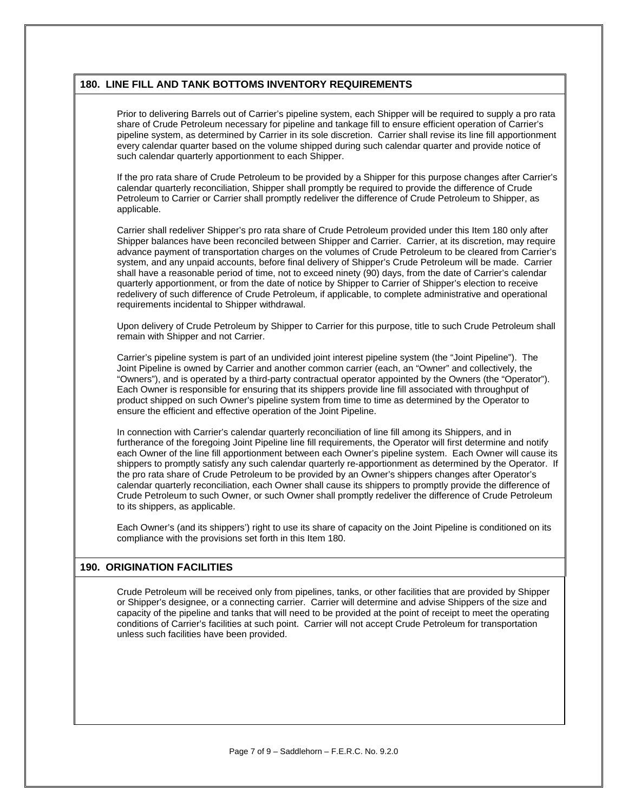### **180. LINE FILL AND TANK BOTTOMS INVENTORY REQUIREMENTS**

Prior to delivering Barrels out of Carrier's pipeline system, each Shipper will be required to supply a pro rata share of Crude Petroleum necessary for pipeline and tankage fill to ensure efficient operation of Carrier's pipeline system, as determined by Carrier in its sole discretion. Carrier shall revise its line fill apportionment every calendar quarter based on the volume shipped during such calendar quarter and provide notice of such calendar quarterly apportionment to each Shipper.

If the pro rata share of Crude Petroleum to be provided by a Shipper for this purpose changes after Carrier's calendar quarterly reconciliation, Shipper shall promptly be required to provide the difference of Crude Petroleum to Carrier or Carrier shall promptly redeliver the difference of Crude Petroleum to Shipper, as applicable.

Carrier shall redeliver Shipper's pro rata share of Crude Petroleum provided under this Item 180 only after Shipper balances have been reconciled between Shipper and Carrier. Carrier, at its discretion, may require advance payment of transportation charges on the volumes of Crude Petroleum to be cleared from Carrier's system, and any unpaid accounts, before final delivery of Shipper's Crude Petroleum will be made. Carrier shall have a reasonable period of time, not to exceed ninety (90) days, from the date of Carrier's calendar quarterly apportionment, or from the date of notice by Shipper to Carrier of Shipper's election to receive redelivery of such difference of Crude Petroleum, if applicable, to complete administrative and operational requirements incidental to Shipper withdrawal.

Upon delivery of Crude Petroleum by Shipper to Carrier for this purpose, title to such Crude Petroleum shall remain with Shipper and not Carrier.

Carrier's pipeline system is part of an undivided joint interest pipeline system (the "Joint Pipeline"). The Joint Pipeline is owned by Carrier and another common carrier (each, an "Owner" and collectively, the "Owners"), and is operated by a third-party contractual operator appointed by the Owners (the "Operator"). Each Owner is responsible for ensuring that its shippers provide line fill associated with throughput of product shipped on such Owner's pipeline system from time to time as determined by the Operator to ensure the efficient and effective operation of the Joint Pipeline.

In connection with Carrier's calendar quarterly reconciliation of line fill among its Shippers, and in furtherance of the foregoing Joint Pipeline line fill requirements, the Operator will first determine and notify each Owner of the line fill apportionment between each Owner's pipeline system. Each Owner will cause its shippers to promptly satisfy any such calendar quarterly re-apportionment as determined by the Operator. If the pro rata share of Crude Petroleum to be provided by an Owner's shippers changes after Operator's calendar quarterly reconciliation, each Owner shall cause its shippers to promptly provide the difference of Crude Petroleum to such Owner, or such Owner shall promptly redeliver the difference of Crude Petroleum to its shippers, as applicable.

Each Owner's (and its shippers') right to use its share of capacity on the Joint Pipeline is conditioned on its compliance with the provisions set forth in this Item 180.

#### **190. ORIGINATION FACILITIES**

Crude Petroleum will be received only from pipelines, tanks, or other facilities that are provided by Shipper or Shipper's designee, or a connecting carrier. Carrier will determine and advise Shippers of the size and capacity of the pipeline and tanks that will need to be provided at the point of receipt to meet the operating conditions of Carrier's facilities at such point. Carrier will not accept Crude Petroleum for transportation unless such facilities have been provided.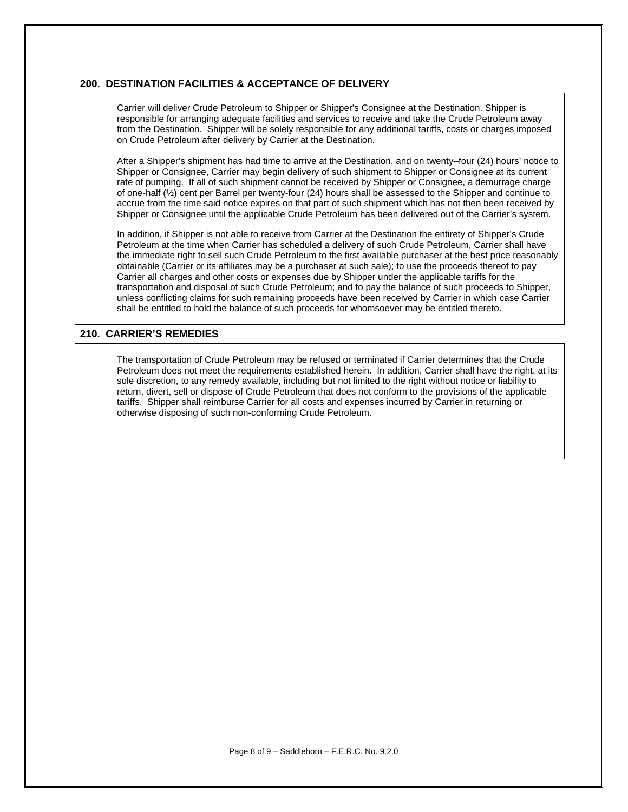#### **200. DESTINATION FACILITIES & ACCEPTANCE OF DELIVERY**

Carrier will deliver Crude Petroleum to Shipper or Shipper's Consignee at the Destination. Shipper is responsible for arranging adequate facilities and services to receive and take the Crude Petroleum away from the Destination. Shipper will be solely responsible for any additional tariffs, costs or charges imposed on Crude Petroleum after delivery by Carrier at the Destination.

After a Shipper's shipment has had time to arrive at the Destination, and on twenty–four (24) hours' notice to Shipper or Consignee, Carrier may begin delivery of such shipment to Shipper or Consignee at its current rate of pumping. If all of such shipment cannot be received by Shipper or Consignee, a demurrage charge of one-half (½) cent per Barrel per twenty-four (24) hours shall be assessed to the Shipper and continue to accrue from the time said notice expires on that part of such shipment which has not then been received by Shipper or Consignee until the applicable Crude Petroleum has been delivered out of the Carrier's system.

In addition, if Shipper is not able to receive from Carrier at the Destination the entirety of Shipper's Crude Petroleum at the time when Carrier has scheduled a delivery of such Crude Petroleum, Carrier shall have the immediate right to sell such Crude Petroleum to the first available purchaser at the best price reasonably obtainable (Carrier or its affiliates may be a purchaser at such sale); to use the proceeds thereof to pay Carrier all charges and other costs or expenses due by Shipper under the applicable tariffs for the transportation and disposal of such Crude Petroleum; and to pay the balance of such proceeds to Shipper, unless conflicting claims for such remaining proceeds have been received by Carrier in which case Carrier shall be entitled to hold the balance of such proceeds for whomsoever may be entitled thereto.

#### **210. CARRIER'S REMEDIES**

The transportation of Crude Petroleum may be refused or terminated if Carrier determines that the Crude Petroleum does not meet the requirements established herein. In addition, Carrier shall have the right, at its sole discretion, to any remedy available, including but not limited to the right without notice or liability to return, divert, sell or dispose of Crude Petroleum that does not conform to the provisions of the applicable tariffs. Shipper shall reimburse Carrier for all costs and expenses incurred by Carrier in returning or otherwise disposing of such non-conforming Crude Petroleum.